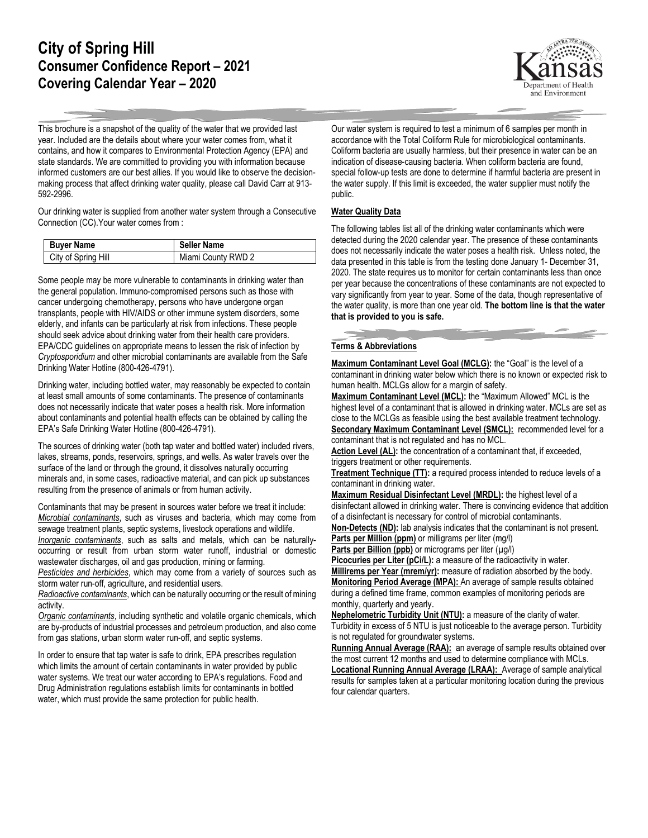## **City of Spring Hill Consumer Confidence Report – 2021 Covering Calendar Year – 2020**



This brochure is a snapshot of the quality of the water that we provided last year. Included are the details about where your water comes from, what it contains, and how it compares to Environmental Protection Agency (EPA) and state standards. We are committed to providing you with information because informed customers are our best allies. If you would like to observe the decisionmaking process that affect drinking water quality, please call David Carr at 913- 592-2996.

Our drinking water is supplied from another water system through a Consecutive Connection (CC).Your water comes from :

| <b>Buyer Name</b>   | <b>Seller Name</b> |
|---------------------|--------------------|
| City of Spring Hill | Miami County RWD 2 |

Some people may be more vulnerable to contaminants in drinking water than the general population. Immuno-compromised persons such as those with cancer undergoing chemotherapy, persons who have undergone organ transplants, people with HIV/AIDS or other immune system disorders, some elderly, and infants can be particularly at risk from infections. These people should seek advice about drinking water from their health care providers. EPA/CDC guidelines on appropriate means to lessen the risk of infection by *Cryptosporidium* and other microbial contaminants are available from the Safe Drinking Water Hotline (800-426-4791).

Drinking water, including bottled water, may reasonably be expected to contain at least small amounts of some contaminants. The presence of contaminants does not necessarily indicate that water poses a health risk. More information about contaminants and potential health effects can be obtained by calling the EPA's Safe Drinking Water Hotline (800-426-4791).

The sources of drinking water (both tap water and bottled water) included rivers, lakes, streams, ponds, reservoirs, springs, and wells. As water travels over the surface of the land or through the ground, it dissolves naturally occurring minerals and, in some cases, radioactive material, and can pick up substances resulting from the presence of animals or from human activity.

Contaminants that may be present in sources water before we treat it include: *Microbial contaminants*, such as viruses and bacteria, which may come from sewage treatment plants, septic systems, livestock operations and wildlife. *Inorganic contaminants*, such as salts and metals, which can be naturallyoccurring or result from urban storm water runoff, industrial or domestic wastewater discharges, oil and gas production, mining or farming.

*Pesticides and herbicides*, which may come from a variety of sources such as storm water run-off, agriculture, and residential users.

*Radioactive contaminants*, which can be naturally occurring or the result of mining activity.

*Organic contaminants*, including synthetic and volatile organic chemicals, which are by-products of industrial processes and petroleum production, and also come from gas stations, urban storm water run-off, and septic systems.

In order to ensure that tap water is safe to drink, EPA prescribes regulation which limits the amount of certain contaminants in water provided by public water systems. We treat our water according to EPA's regulations. Food and Drug Administration regulations establish limits for contaminants in bottled water, which must provide the same protection for public health.

Our water system is required to test a minimum of 6 samples per month in accordance with the Total Coliform Rule for microbiological contaminants. Coliform bacteria are usually harmless, but their presence in water can be an indication of disease-causing bacteria. When coliform bacteria are found, special follow-up tests are done to determine if harmful bacteria are present in the water supply. If this limit is exceeded, the water supplier must notify the public.

## **Water Quality Data**

The following tables list all of the drinking water contaminants which were detected during the 2020 calendar year. The presence of these contaminants does not necessarily indicate the water poses a health risk. Unless noted, the data presented in this table is from the testing done January 1- December 31, 2020. The state requires us to monitor for certain contaminants less than once per year because the concentrations of these contaminants are not expected to vary significantly from year to year. Some of the data, though representative of the water quality, is more than one year old. **The bottom line is that the water that is provided to you is safe.**

## **Terms & Abbreviations**

**Maximum Contaminant Level Goal (MCLG):** the "Goal" is the level of a contaminant in drinking water below which there is no known or expected risk to human health. MCLGs allow for a margin of safety.

**Maximum Contaminant Level (MCL):** the "Maximum Allowed" MCL is the highest level of a contaminant that is allowed in drinking water. MCLs are set as close to the MCLGs as feasible using the best available treatment technology. **Secondary Maximum Contaminant Level (SMCL):** recommended level for a contaminant that is not regulated and has no MCL.

Action Level (AL): the concentration of a contaminant that, if exceeded, triggers treatment or other requirements.

**Treatment Technique (TT):** a required process intended to reduce levels of a contaminant in drinking water.

**Maximum Residual Disinfectant Level (MRDL):** the highest level of a disinfectant allowed in drinking water. There is convincing evidence that addition of a disinfectant is necessary for control of microbial contaminants.

**Non-Detects (ND):** lab analysis indicates that the contaminant is not present. **Parts per Million (ppm)** or milligrams per liter (mg/l)

**Parts per Billion (ppb)** or micrograms per liter (µg/l)

Picocuries per Liter (pCi/L): a measure of the radioactivity in water.

**Millirems per Year (mrem/yr):** measure of radiation absorbed by the body. **Monitoring Period Average (MPA):** An average of sample results obtained during a defined time frame, common examples of monitoring periods are monthly, quarterly and yearly.

**Nephelometric Turbidity Unit (NTU):** a measure of the clarity of water. Turbidity in excess of 5 NTU is just noticeable to the average person. Turbidity is not regulated for groundwater systems.

**Running Annual Average (RAA):** an average of sample results obtained over the most current 12 months and used to determine compliance with MCLs. **Locational Running Annual Average (LRAA):** Average of sample analytical results for samples taken at a particular monitoring location during the previous four calendar quarters.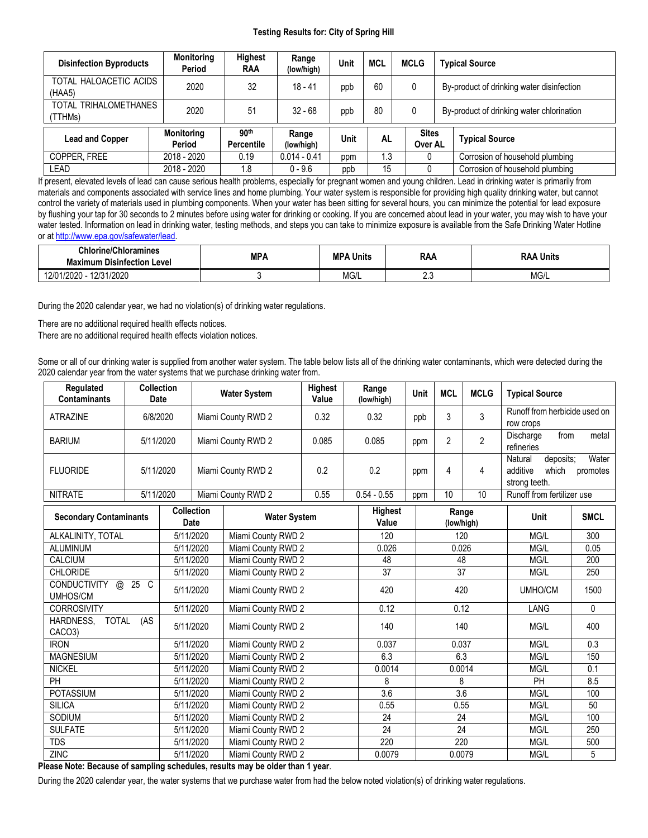## **Testing Results for: City of Spring Hill**

| <b>Disinfection Byproducts</b>   | <b>Monitoring</b><br>Period | Highest<br>RAA                        | Range<br>(low/high) | Unit | <b>MCL</b> |          | <b>MCLG</b>             | <b>Typical Source</b>                     |  |
|----------------------------------|-----------------------------|---------------------------------------|---------------------|------|------------|----------|-------------------------|-------------------------------------------|--|
| TOTAL HALOACETIC ACIDS<br>(HAA5) | 2020                        | 32                                    | $18 - 41$           | ppb  | 60         |          | 0                       | By-product of drinking water disinfection |  |
| TOTAL TRIHALOMETHANES<br>(TTHMs) | 2020                        | 51                                    | $32 - 68$           | ppb  | 80         |          | 0                       | By-product of drinking water chlorination |  |
| <b>Lead and Copper</b>           | <b>Monitoring</b><br>Period | 90 <sup>th</sup><br><b>Percentile</b> | Range<br>(low/high) | Unit | <b>AL</b>  |          | <b>Sites</b><br>Over AL | <b>Typical Source</b>                     |  |
| COPPER, FREE                     | 2018 - 2020                 | 0.19                                  | $0.014 - 0.41$      | ppm  |            | l.3<br>υ |                         | Corrosion of household plumbing           |  |
| LEAD                             | 2018 - 2020                 | 1.8                                   | $0 - 9.6$           | ppb  | 15         |          |                         | Corrosion of household plumbing           |  |

If present, elevated levels of lead can cause serious health problems, especially for pregnant women and young children. Lead in drinking water is primarily from materials and components associated with service lines and home plumbing. Your water system is responsible for providing high quality drinking water, but cannot control the variety of materials used in plumbing components. When your water has been sitting for several hours, you can minimize the potential for lead exposure by flushing your tap for 30 seconds to 2 minutes before using water for drinking or cooking. If you are concerned about lead in your water, you may wish to have your water tested. Information on lead in drinking water, testing methods, and steps you can take to minimize exposure is available from the Safe Drinking Water Hotline or at [http://www.epa.gov/safewater/lead.](http://www.epa.gov/safewater/lead)

| <b>Chlorine/Chloramines</b><br><b>Maximum Disinfection Level</b> | <b>MPA</b> | <b>MPA</b><br>'A Units | <b>RAA</b> | Units<br>- -<br>KAA |  |
|------------------------------------------------------------------|------------|------------------------|------------|---------------------|--|
| 12/31/2020<br>'ባ1/2020 -<br>$\sim$<br>. 2/U                      |            | $\sim$<br>IVIG/L       | $\sim$     | MG/L                |  |

During the 2020 calendar year, we had no violation(s) of drinking water regulations.

There are no additional required health effects notices.

There are no additional required health effects violation notices.

Some or all of our drinking water is supplied from another water system. The table below lists all of the drinking water contaminants, which were detected during the 2020 calendar year from the water systems that we purchase drinking water from.

| Regulated<br><b>Contaminants</b>            | <b>Collection</b><br><b>Date</b> |                                                  |                                 | <b>Water System</b> | <b>Highest</b><br>Value | Range<br>(low/high) | Unit                | <b>MCL</b>       | <b>MCLG</b>    | <b>Typical Source</b>                                                           |              |
|---------------------------------------------|----------------------------------|--------------------------------------------------|---------------------------------|---------------------|-------------------------|---------------------|---------------------|------------------|----------------|---------------------------------------------------------------------------------|--------------|
| <b>ATRAZINE</b>                             | 6/8/2020                         |                                                  | Miami County RWD 2              |                     | 0.32                    | 0.32                | ppb                 | 3                | 3              | Runoff from herbicide used on<br>row crops                                      |              |
| <b>BARIUM</b>                               | 5/11/2020                        |                                                  |                                 | Miami County RWD 2  | 0.085                   | 0.085               | ppm                 | 2                | $\overline{2}$ | Discharge<br>from<br>refineries                                                 | metal        |
| <b>FLUORIDE</b>                             |                                  | 5/11/2020                                        |                                 | Miami County RWD 2  | 0.2                     | 0.2                 | ppm                 | 4                | 4              | Water<br>Natural<br>deposits:<br>additive<br>which<br>promotes<br>strong teeth. |              |
| <b>NITRATE</b>                              | 5/11/2020                        |                                                  |                                 | Miami County RWD 2  | 0.55                    | $0.54 - 0.55$       | ppm                 | 10               | 10             | Runoff from fertilizer use                                                      |              |
| <b>Secondary Contaminants</b>               |                                  | <b>Collection</b><br><b>Water System</b><br>Date |                                 |                     | <b>Highest</b><br>Value |                     | Range<br>(low/high) |                  | <b>Unit</b>    | <b>SMCL</b>                                                                     |              |
| ALKALINITY, TOTAL                           |                                  | 5/11/2020                                        |                                 | Miami County RWD 2  |                         | 120                 |                     | 120              |                | MG/L                                                                            | 300          |
| <b>ALUMINUM</b>                             |                                  |                                                  | 5/11/2020                       | Miami County RWD 2  |                         | 0.026               |                     | 0.026            |                | MG/L                                                                            | 0.05         |
| CALCIUM                                     |                                  | 5/11/2020                                        |                                 | Miami County RWD 2  |                         | 48                  |                     | 48               |                | MG/L                                                                            | 200          |
| <b>CHLORIDE</b>                             |                                  |                                                  | 5/11/2020                       | Miami County RWD 2  |                         | 37                  |                     | 37               |                | MG/L                                                                            | 250          |
| <b>CONDUCTIVITY</b><br>@<br><b>UMHOS/CM</b> | 25 C                             |                                                  | 5/11/2020<br>Miami County RWD 2 |                     |                         | 420                 |                     | 420              |                | UMHO/CM                                                                         | 1500         |
| <b>CORROSIVITY</b>                          |                                  |                                                  | 5/11/2020                       | Miami County RWD 2  |                         | 0.12                |                     | 0.12             |                | LANG                                                                            | $\mathbf{0}$ |
| HARDNESS,<br><b>TOTAL</b><br>CACO3)         | (AS)                             |                                                  | 5/11/2020                       | Miami County RWD 2  |                         | 140                 |                     | 140              |                | MG/L                                                                            | 400          |
| <b>IRON</b>                                 | 5/11/2020<br>Miami County RWD 2  |                                                  | 0.037                           |                     | 0.037                   |                     | MG/L                | 0.3              |                |                                                                                 |              |
| <b>MAGNESIUM</b>                            | 5/11/2020<br>Miami County RWD 2  |                                                  | 6.3                             |                     | 6.3                     |                     | MG/L                | 150              |                |                                                                                 |              |
| <b>NICKEL</b>                               |                                  | 5/11/2020                                        |                                 | Miami County RWD 2  |                         | 0.0014              |                     | 0.0014           |                | MG/L                                                                            |              |
| PH                                          |                                  |                                                  | 5/11/2020                       | Miami County RWD 2  |                         | 8                   |                     | 8                |                | PH                                                                              | 8.5          |
| <b>POTASSIUM</b>                            |                                  | 5/11/2020                                        |                                 | Miami County RWD 2  |                         | 3.6                 |                     | $\overline{3.6}$ |                | MG/L                                                                            | 100          |
| <b>SILICA</b>                               |                                  |                                                  | 5/11/2020                       | Miami County RWD 2  |                         | 0.55                |                     | 0.55             |                | MG/L                                                                            | 50           |
| <b>SODIUM</b>                               |                                  |                                                  | 5/11/2020                       | Miami County RWD 2  |                         | 24                  |                     | 24               |                | MG/L                                                                            | 100          |
| <b>SULFATE</b>                              |                                  | 5/11/2020                                        |                                 | Miami County RWD 2  |                         | $\overline{24}$     |                     | $\overline{24}$  |                | MG/L                                                                            | 250          |
| <b>TDS</b>                                  |                                  | 5/11/2020                                        |                                 | Miami County RWD 2  |                         | 220                 |                     | 220              |                | MG/L                                                                            | 500          |
| <b>ZINC</b>                                 |                                  | 5/11/2020                                        |                                 | Miami County RWD 2  |                         | 0.0079              |                     | 0.0079           |                | MG/L                                                                            | 5            |

**Please Note: Because of sampling schedules, results may be older than 1 year**.

During the 2020 calendar year, the water systems that we purchase water from had the below noted violation(s) of drinking water regulations.